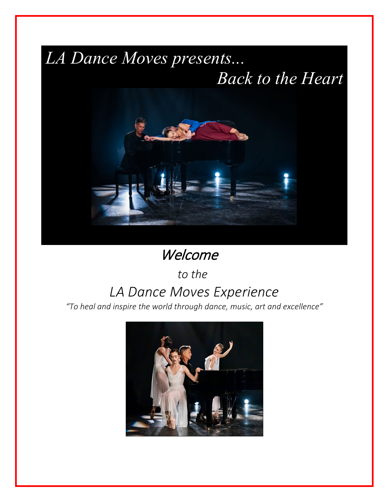# *LA Dance Moves presents... Back to the Heart*

## Welcome

# *to the LA Dance Moves Experience*

*"To heal and inspire the world through dance, music, art and excellence"*

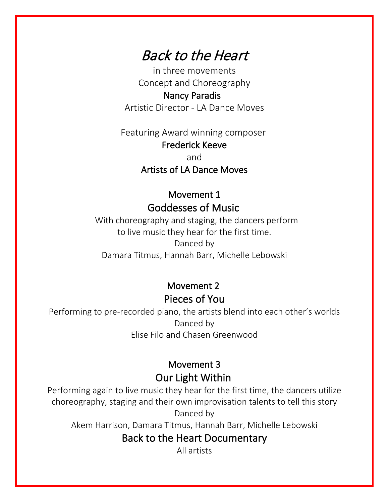# Back to the Heart

in three movements Concept and Choreography Nancy Paradis Artistic Director - LA Dance Moves

Featuring Award winning composer Frederick Keeve and Artists of LA Dance Moves

## Movement 1 Goddesses of Music

 With choreography and staging, the dancers perform to live music they hear for the first time. Danced by Damara Titmus, Hannah Barr, Michelle Lebowski

### Movement 2 Pieces of You

Performing to pre-recorded piano, the artists blend into each other's worlds Danced by Elise Filo and Chasen Greenwood

## Movement 3 Our Light Within

Performing again to live music they hear for the first time, the dancers utilize choreography, staging and their own improvisation talents to tell this story Danced by

Akem Harrison, Damara Titmus, Hannah Barr, Michelle Lebowski

## Back to the Heart Documentary

All artists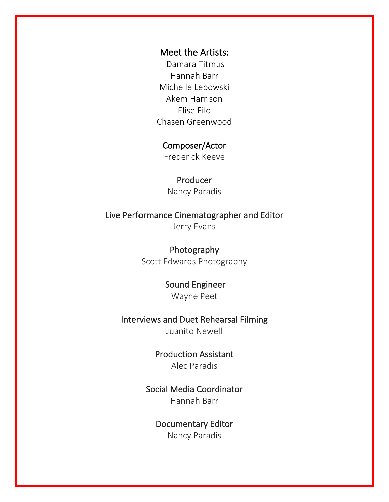#### Meet the Artists:

 Damara Titmus Hannah Barr Michelle Lebowski Akem Harrison Elise Filo Chasen Greenwood

#### Composer/Actor

Frederick Keeve

#### Producer

Nancy Paradis

#### Live Performance Cinematographer and Editor

Jerry Evans

#### Photography

Scott Edwards Photography

#### Sound Engineer

Wayne Peet

#### Interviews and Duet Rehearsal Filming

Juanito Newell

## Production Assistant

Alec Paradis

#### Social Media Coordinator

Hannah Barr

## Documentary Editor

Nancy Paradis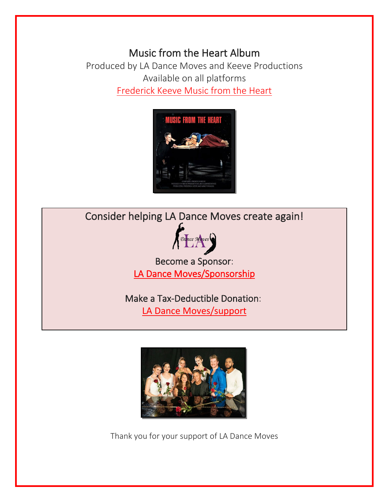Music from the Heart Album Produced by LA Dance Moves and Keeve Productions Available on all platforms [Frederick Keeve Music from the Heart](https://frederickkeeve.hearnow.com/music-from-the-heart)



Consider helping LA Dance Moves create again!



[LA Dance Moves/Sponsorship](https://www.ladancemoves.com/sponsorship) 

Make a Tax-Deductible Donation: [LA Dance Moves/support](https://www.ladancemoves.com/support) 



Thank you for your support of LA Dance Moves